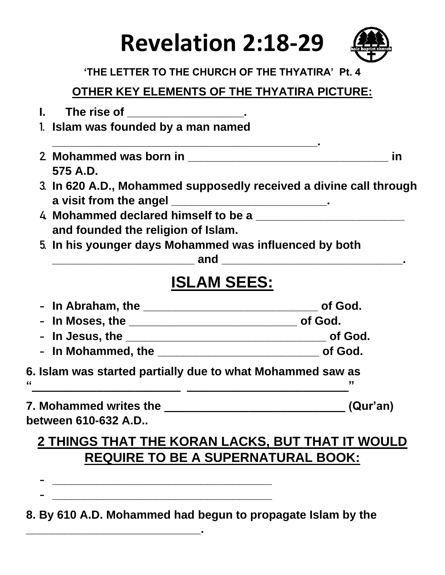# **Revelation 2:18-29**



#### **'THE LETTER TO THE CHURCH OF THE THYATIRA' Pt. 4**

### **OTHER KEY ELEMENTS OF THE THYATIRA PICTURE:**

|                     | The rise of _____________________.                       |                                                                    |
|---------------------|----------------------------------------------------------|--------------------------------------------------------------------|
|                     | 1. Islam was founded by a man named                      |                                                                    |
|                     |                                                          | in                                                                 |
| 575 A.D.            |                                                          |                                                                    |
|                     | a visit from the angel ________________________________. | 3. In 620 A.D., Mohammed supposedly received a divine call through |
|                     | and founded the religion of Islam.                       |                                                                    |
|                     |                                                          | 5. In his younger days Mohammed was influenced by both             |
|                     | <b>ISLAM SEES:</b>                                       |                                                                    |
|                     |                                                          |                                                                    |
|                     |                                                          |                                                                    |
|                     |                                                          |                                                                    |
|                     |                                                          |                                                                    |
|                     |                                                          | 6. Islam was started partially due to what Mohammed saw as         |
|                     |                                                          |                                                                    |
| between 610-632 A.D |                                                          |                                                                    |
|                     |                                                          | 2 THINGS THAT THE KORAN LACKS BUT THAT IT WOULD                    |

## <u>2 THINGS THAT THE BUT THAT IT WOULD </u> **REQUIRE TO BE A SUPERNATURAL BOOK:**

**- \_\_\_\_\_\_\_\_\_\_\_\_\_\_\_\_\_\_\_\_\_\_\_\_\_\_\_\_\_\_\_\_\_\_**

**\_\_\_\_\_\_\_\_\_\_\_\_\_\_\_\_\_\_\_\_\_\_\_\_\_\_\_.**

#### **8. By 610 A.D. Mohammed had begun to propagate Islam by the**

**- \_\_\_\_\_\_\_\_\_\_\_\_\_\_\_\_\_\_\_\_\_\_\_\_\_\_\_\_\_\_\_\_\_\_**